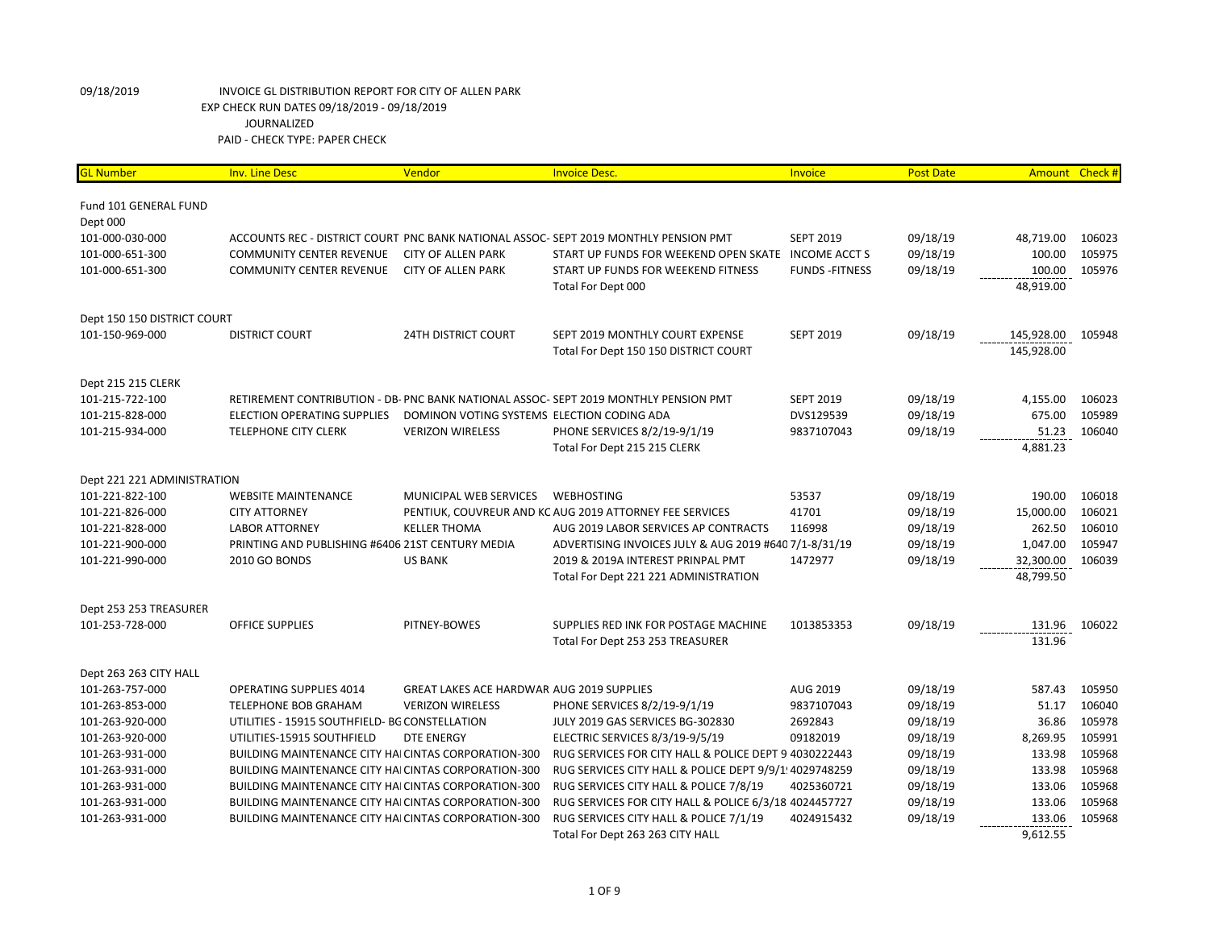| <mark>GL Number</mark>      | <b>Inv. Line Desc</b>                                       | Vendor                                           | <b>Invoice Desc.</b>                                                                 | Invoice                | <b>Post Date</b> | Amount     | Check# |
|-----------------------------|-------------------------------------------------------------|--------------------------------------------------|--------------------------------------------------------------------------------------|------------------------|------------------|------------|--------|
| Fund 101 GENERAL FUND       |                                                             |                                                  |                                                                                      |                        |                  |            |        |
| Dept 000                    |                                                             |                                                  |                                                                                      |                        |                  |            |        |
| 101-000-030-000             |                                                             |                                                  | ACCOUNTS REC - DISTRICT COURT PNC BANK NATIONAL ASSOC- SEPT 2019 MONTHLY PENSION PMT | <b>SEPT 2019</b>       | 09/18/19         | 48,719.00  | 106023 |
| 101-000-651-300             | <b>COMMUNITY CENTER REVENUE</b>                             | <b>CITY OF ALLEN PARK</b>                        | START UP FUNDS FOR WEEKEND OPEN SKATE                                                | <b>INCOME ACCT S</b>   | 09/18/19         | 100.00     | 105975 |
| 101-000-651-300             | <b>COMMUNITY CENTER REVENUE</b>                             | <b>CITY OF ALLEN PARK</b>                        | START UP FUNDS FOR WEEKEND FITNESS                                                   | <b>FUNDS - FITNESS</b> | 09/18/19         | 100.00     | 105976 |
|                             |                                                             |                                                  | Total For Dept 000                                                                   |                        |                  | 48,919.00  |        |
| Dept 150 150 DISTRICT COURT |                                                             |                                                  |                                                                                      |                        |                  |            |        |
| 101-150-969-000             | <b>DISTRICT COURT</b>                                       | <b>24TH DISTRICT COURT</b>                       | SEPT 2019 MONTHLY COURT EXPENSE                                                      | <b>SEPT 2019</b>       | 09/18/19         | 145,928.00 | 105948 |
|                             |                                                             |                                                  | Total For Dept 150 150 DISTRICT COURT                                                |                        |                  | 145,928.00 |        |
| Dept 215 215 CLERK          |                                                             |                                                  |                                                                                      |                        |                  |            |        |
| 101-215-722-100             |                                                             |                                                  | RETIREMENT CONTRIBUTION - DB- PNC BANK NATIONAL ASSOC- SEPT 2019 MONTHLY PENSION PMT | <b>SEPT 2019</b>       | 09/18/19         | 4,155.00   | 106023 |
| 101-215-828-000             | <b>ELECTION OPERATING SUPPLIES</b>                          | DOMINON VOTING SYSTEMS ELECTION CODING ADA       |                                                                                      | DVS129539              | 09/18/19         | 675.00     | 105989 |
| 101-215-934-000             | <b>TELEPHONE CITY CLERK</b>                                 | <b>VERIZON WIRELESS</b>                          | PHONE SERVICES 8/2/19-9/1/19                                                         | 9837107043             | 09/18/19         | 51.23      | 106040 |
|                             |                                                             |                                                  | Total For Dept 215 215 CLERK                                                         |                        |                  | 4,881.23   |        |
| Dept 221 221 ADMINISTRATION |                                                             |                                                  |                                                                                      |                        |                  |            |        |
| 101-221-822-100             | <b>WEBSITE MAINTENANCE</b>                                  | MUNICIPAL WEB SERVICES                           | <b>WEBHOSTING</b>                                                                    | 53537                  | 09/18/19         | 190.00     | 106018 |
| 101-221-826-000             | <b>CITY ATTORNEY</b>                                        |                                                  | PENTIUK, COUVREUR AND KC AUG 2019 ATTORNEY FEE SERVICES                              | 41701                  | 09/18/19         | 15,000.00  | 106021 |
| 101-221-828-000             | <b>LABOR ATTORNEY</b>                                       | <b>KELLER THOMA</b>                              | AUG 2019 LABOR SERVICES AP CONTRACTS                                                 | 116998                 | 09/18/19         | 262.50     | 106010 |
| 101-221-900-000             | PRINTING AND PUBLISHING #6406 21ST CENTURY MEDIA            |                                                  | ADVERTISING INVOICES JULY & AUG 2019 #640 7/1-8/31/19                                |                        | 09/18/19         | 1,047.00   | 105947 |
| 101-221-990-000             | 2010 GO BONDS                                               | <b>US BANK</b>                                   | 2019 & 2019A INTEREST PRINPAL PMT                                                    | 1472977                | 09/18/19         | 32,300.00  | 106039 |
|                             |                                                             |                                                  | Total For Dept 221 221 ADMINISTRATION                                                |                        |                  | 48,799.50  |        |
| Dept 253 253 TREASURER      |                                                             |                                                  |                                                                                      |                        |                  |            |        |
| 101-253-728-000             | <b>OFFICE SUPPLIES</b>                                      | PITNEY-BOWES                                     | SUPPLIES RED INK FOR POSTAGE MACHINE                                                 | 1013853353             | 09/18/19         | 131.96     | 106022 |
|                             |                                                             |                                                  | Total For Dept 253 253 TREASURER                                                     |                        |                  | 131.96     |        |
| Dept 263 263 CITY HALL      |                                                             |                                                  |                                                                                      |                        |                  |            |        |
| 101-263-757-000             | <b>OPERATING SUPPLIES 4014</b>                              | <b>GREAT LAKES ACE HARDWAR AUG 2019 SUPPLIES</b> |                                                                                      | AUG 2019               | 09/18/19         | 587.43     | 105950 |
| 101-263-853-000             | TELEPHONE BOB GRAHAM                                        | <b>VERIZON WIRELESS</b>                          | PHONE SERVICES 8/2/19-9/1/19                                                         | 9837107043             | 09/18/19         | 51.17      | 106040 |
| 101-263-920-000             | UTILITIES - 15915 SOUTHFIELD- BG CONSTELLATION              |                                                  | JULY 2019 GAS SERVICES BG-302830                                                     | 2692843                | 09/18/19         | 36.86      | 105978 |
| 101-263-920-000             | UTILITIES-15915 SOUTHFIELD                                  | <b>DTE ENERGY</b>                                | ELECTRIC SERVICES 8/3/19-9/5/19                                                      | 09182019               | 09/18/19         | 8,269.95   | 105991 |
| 101-263-931-000             | BUILDING MAINTENANCE CITY HAI CINTAS CORPORATION-300        |                                                  | RUG SERVICES FOR CITY HALL & POLICE DEPT 9 4030222443                                |                        | 09/18/19         | 133.98     | 105968 |
| 101-263-931-000             | <b>BUILDING MAINTENANCE CITY HAI CINTAS CORPORATION-300</b> |                                                  | RUG SERVICES CITY HALL & POLICE DEPT 9/9/1 4029748259                                |                        | 09/18/19         | 133.98     | 105968 |
| 101-263-931-000             | BUILDING MAINTENANCE CITY HAI CINTAS CORPORATION-300        |                                                  | RUG SERVICES CITY HALL & POLICE 7/8/19                                               | 4025360721             | 09/18/19         | 133.06     | 105968 |
| 101-263-931-000             | <b>BUILDING MAINTENANCE CITY HAI CINTAS CORPORATION-300</b> |                                                  | RUG SERVICES FOR CITY HALL & POLICE 6/3/18 4024457727                                |                        | 09/18/19         | 133.06     | 105968 |
| 101-263-931-000             | BUILDING MAINTENANCE CITY HAI CINTAS CORPORATION-300        |                                                  | RUG SERVICES CITY HALL & POLICE 7/1/19                                               | 4024915432             | 09/18/19         | 133.06     | 105968 |
|                             |                                                             |                                                  | Total For Dept 263 263 CITY HALL                                                     |                        |                  | 9,612.55   |        |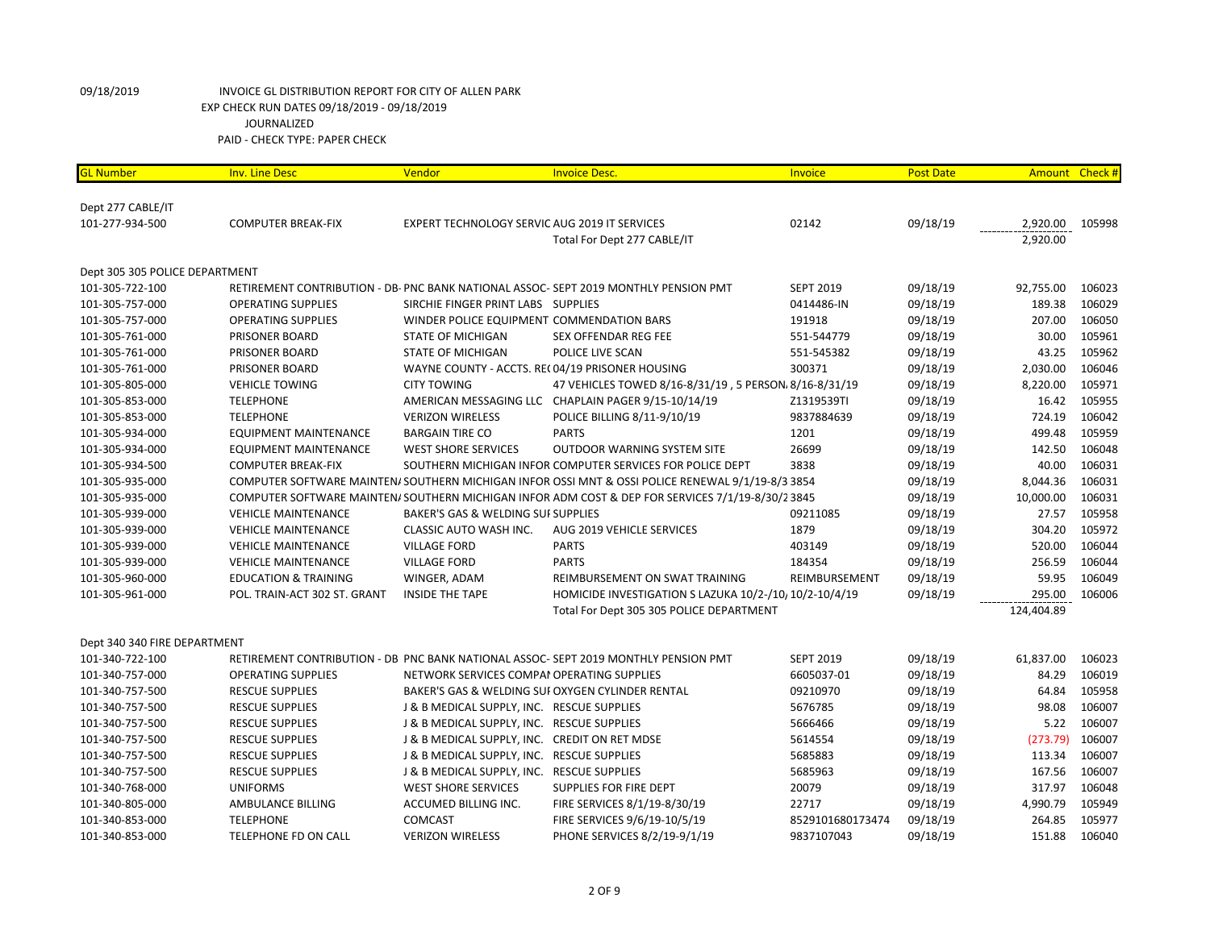| <b>GL Number</b>               | <b>Inv. Line Desc</b>           | Vendor                                        | <b>Invoice Desc.</b>                                                                              | <b>Invoice</b>   | <b>Post Date</b> |            | Amount Check # |
|--------------------------------|---------------------------------|-----------------------------------------------|---------------------------------------------------------------------------------------------------|------------------|------------------|------------|----------------|
| Dept 277 CABLE/IT              |                                 |                                               |                                                                                                   |                  |                  |            |                |
| 101-277-934-500                | <b>COMPUTER BREAK-FIX</b>       | EXPERT TECHNOLOGY SERVIC AUG 2019 IT SERVICES |                                                                                                   | 02142            | 09/18/19         | 2,920.00   | 105998         |
|                                |                                 |                                               | Total For Dept 277 CABLE/IT                                                                       |                  |                  | 2,920.00   |                |
|                                |                                 |                                               |                                                                                                   |                  |                  |            |                |
| Dept 305 305 POLICE DEPARTMENT |                                 |                                               |                                                                                                   |                  |                  |            |                |
| 101-305-722-100                |                                 |                                               | RETIREMENT CONTRIBUTION - DB- PNC BANK NATIONAL ASSOC- SEPT 2019 MONTHLY PENSION PMT              | <b>SEPT 2019</b> | 09/18/19         | 92,755.00  | 106023         |
| 101-305-757-000                | <b>OPERATING SUPPLIES</b>       | SIRCHIE FINGER PRINT LABS SUPPLIES            |                                                                                                   | 0414486-IN       | 09/18/19         | 189.38     | 106029         |
| 101-305-757-000                | <b>OPERATING SUPPLIES</b>       | WINDER POLICE EQUIPMENT COMMENDATION BARS     |                                                                                                   | 191918           | 09/18/19         | 207.00     | 106050         |
| 101-305-761-000                | PRISONER BOARD                  | <b>STATE OF MICHIGAN</b>                      | <b>SEX OFFENDAR REG FEE</b>                                                                       | 551-544779       | 09/18/19         | 30.00      | 105961         |
| 101-305-761-000                | PRISONER BOARD                  | <b>STATE OF MICHIGAN</b>                      | POLICE LIVE SCAN                                                                                  | 551-545382       | 09/18/19         | 43.25      | 105962         |
| 101-305-761-000                | PRISONER BOARD                  |                                               | WAYNE COUNTY - ACCTS. REC04/19 PRISONER HOUSING                                                   | 300371           | 09/18/19         | 2,030.00   | 106046         |
| 101-305-805-000                | <b>VEHICLE TOWING</b>           | <b>CITY TOWING</b>                            | 47 VEHICLES TOWED 8/16-8/31/19, 5 PERSON. 8/16-8/31/19                                            |                  | 09/18/19         | 8,220.00   | 105971         |
| 101-305-853-000                | <b>TELEPHONE</b>                |                                               | AMERICAN MESSAGING LLC CHAPLAIN PAGER 9/15-10/14/19                                               | Z1319539TI       | 09/18/19         | 16.42      | 105955         |
| 101-305-853-000                | <b>TELEPHONE</b>                | <b>VERIZON WIRELESS</b>                       | POLICE BILLING 8/11-9/10/19                                                                       | 9837884639       | 09/18/19         | 724.19     | 106042         |
| 101-305-934-000                | <b>EQUIPMENT MAINTENANCE</b>    | <b>BARGAIN TIRE CO</b>                        | <b>PARTS</b>                                                                                      | 1201             | 09/18/19         | 499.48     | 105959         |
| 101-305-934-000                | <b>EQUIPMENT MAINTENANCE</b>    | <b>WEST SHORE SERVICES</b>                    | <b>OUTDOOR WARNING SYSTEM SITE</b>                                                                | 26699            | 09/18/19         | 142.50     | 106048         |
| 101-305-934-500                | <b>COMPUTER BREAK-FIX</b>       |                                               | SOUTHERN MICHIGAN INFOR COMPUTER SERVICES FOR POLICE DEPT                                         | 3838             | 09/18/19         | 40.00      | 106031         |
| 101-305-935-000                |                                 |                                               | COMPUTER SOFTWARE MAINTEN/ SOUTHERN MICHIGAN INFOR OSSI MNT & OSSI POLICE RENEWAL 9/1/19-8/3 3854 |                  | 09/18/19         | 8,044.36   | 106031         |
| 101-305-935-000                |                                 |                                               | COMPUTER SOFTWARE MAINTEN/ SOUTHERN MICHIGAN INFOR ADM COST & DEP FOR SERVICES 7/1/19-8/30/2 3845 |                  | 09/18/19         | 10,000.00  | 106031         |
| 101-305-939-000                | <b>VEHICLE MAINTENANCE</b>      | BAKER'S GAS & WELDING SUI SUPPLIES            |                                                                                                   | 09211085         | 09/18/19         | 27.57      | 105958         |
| 101-305-939-000                | <b>VEHICLE MAINTENANCE</b>      | <b>CLASSIC AUTO WASH INC.</b>                 | AUG 2019 VEHICLE SERVICES                                                                         | 1879             | 09/18/19         | 304.20     | 105972         |
| 101-305-939-000                | <b>VEHICLE MAINTENANCE</b>      | <b>VILLAGE FORD</b>                           | <b>PARTS</b>                                                                                      | 403149           | 09/18/19         | 520.00     | 106044         |
| 101-305-939-000                | <b>VEHICLE MAINTENANCE</b>      | <b>VILLAGE FORD</b>                           | <b>PARTS</b>                                                                                      | 184354           | 09/18/19         | 256.59     | 106044         |
| 101-305-960-000                | <b>EDUCATION &amp; TRAINING</b> | WINGER, ADAM                                  | REIMBURSEMENT ON SWAT TRAINING                                                                    | REIMBURSEMENT    | 09/18/19         | 59.95      | 106049         |
| 101-305-961-000                | POL. TRAIN-ACT 302 ST. GRANT    | <b>INSIDE THE TAPE</b>                        | HOMICIDE INVESTIGATION S LAZUKA 10/2-/10, 10/2-10/4/19                                            |                  | 09/18/19         | 295.00     | 106006         |
|                                |                                 |                                               | Total For Dept 305 305 POLICE DEPARTMENT                                                          |                  |                  | 124,404.89 |                |
|                                |                                 |                                               |                                                                                                   |                  |                  |            |                |
| Dept 340 340 FIRE DEPARTMENT   |                                 |                                               |                                                                                                   |                  |                  |            |                |
| 101-340-722-100                |                                 |                                               | RETIREMENT CONTRIBUTION - DB PNC BANK NATIONAL ASSOC- SEPT 2019 MONTHLY PENSION PMT               | <b>SEPT 2019</b> | 09/18/19         | 61,837.00  | 106023         |
| 101-340-757-000                | <b>OPERATING SUPPLIES</b>       | NETWORK SERVICES COMPAI OPERATING SUPPLIES    |                                                                                                   | 6605037-01       | 09/18/19         | 84.29      | 106019         |
| 101-340-757-500                | <b>RESCUE SUPPLIES</b>          |                                               | BAKER'S GAS & WELDING SUI OXYGEN CYLINDER RENTAL                                                  | 09210970         | 09/18/19         | 64.84      | 105958         |
| 101-340-757-500                | <b>RESCUE SUPPLIES</b>          | J & B MEDICAL SUPPLY, INC. RESCUE SUPPLIES    |                                                                                                   | 5676785          | 09/18/19         | 98.08      | 106007         |
| 101-340-757-500                | <b>RESCUE SUPPLIES</b>          | J & B MEDICAL SUPPLY, INC. RESCUE SUPPLIES    |                                                                                                   | 5666466          | 09/18/19         | 5.22       | 106007         |
| 101-340-757-500                | <b>RESCUE SUPPLIES</b>          | J & B MEDICAL SUPPLY, INC. CREDIT ON RET MDSE |                                                                                                   | 5614554          | 09/18/19         | (273.79)   | 106007         |
| 101-340-757-500                | <b>RESCUE SUPPLIES</b>          | J & B MEDICAL SUPPLY, INC. RESCUE SUPPLIES    |                                                                                                   | 5685883          | 09/18/19         | 113.34     | 106007         |
| 101-340-757-500                | <b>RESCUE SUPPLIES</b>          | J & B MEDICAL SUPPLY, INC. RESCUE SUPPLIES    |                                                                                                   | 5685963          | 09/18/19         | 167.56     | 106007         |
| 101-340-768-000                | <b>UNIFORMS</b>                 | <b>WEST SHORE SERVICES</b>                    | SUPPLIES FOR FIRE DEPT                                                                            | 20079            | 09/18/19         | 317.97     | 106048         |
| 101-340-805-000                | AMBULANCE BILLING               | ACCUMED BILLING INC.                          | FIRE SERVICES 8/1/19-8/30/19                                                                      | 22717            | 09/18/19         | 4,990.79   | 105949         |
| 101-340-853-000                | <b>TELEPHONE</b>                | <b>COMCAST</b>                                | FIRE SERVICES 9/6/19-10/5/19                                                                      | 8529101680173474 | 09/18/19         | 264.85     | 105977         |
| 101-340-853-000                | TELEPHONE FD ON CALL            | <b>VERIZON WIRELESS</b>                       | PHONE SERVICES 8/2/19-9/1/19                                                                      | 9837107043       | 09/18/19         | 151.88     | 106040         |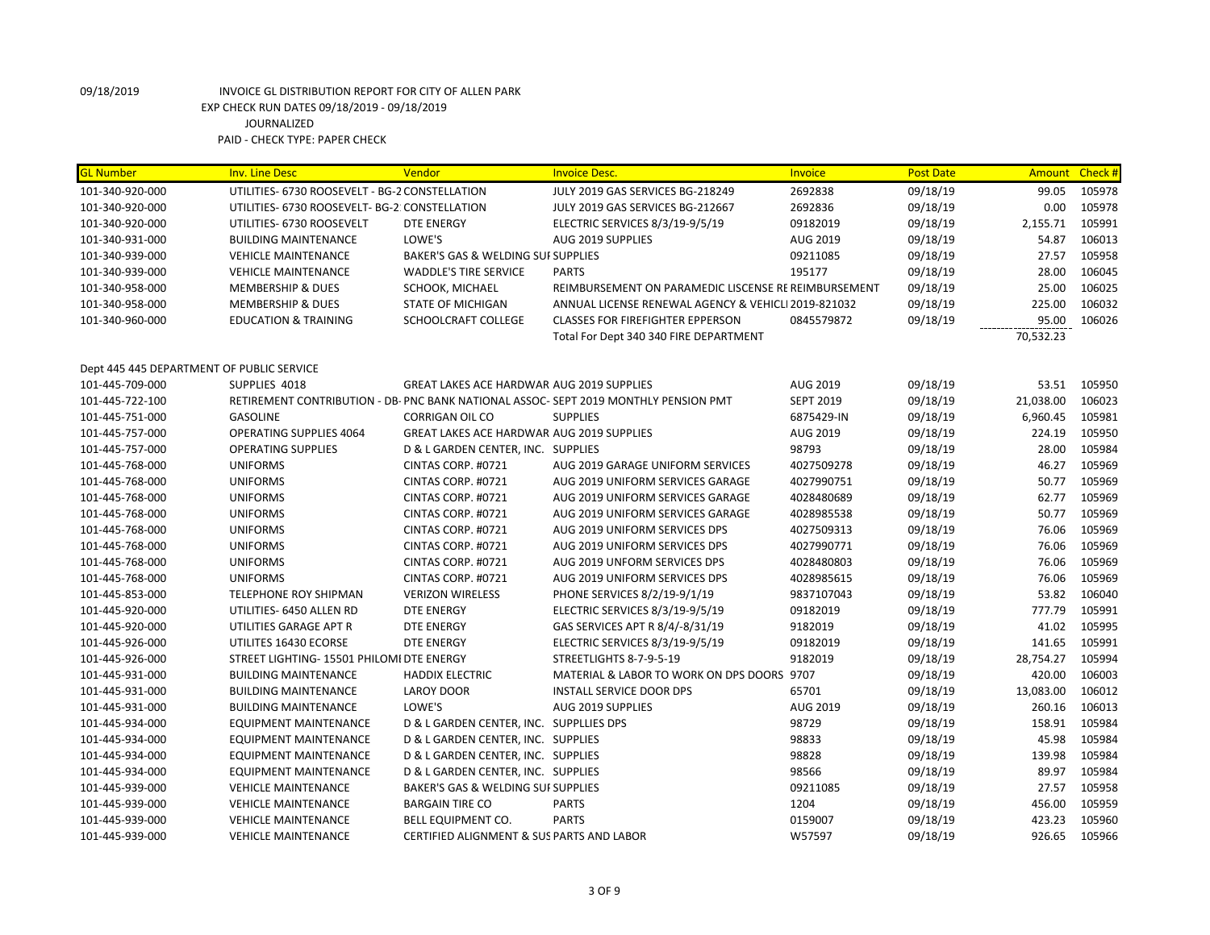| <b>GL Number</b>                          | <b>Inv. Line Desc</b>                          | Vendor                                           | <b>Invoice Desc.</b>                                                                 | Invoice          | <b>Post Date</b> |           | Amount Check # |
|-------------------------------------------|------------------------------------------------|--------------------------------------------------|--------------------------------------------------------------------------------------|------------------|------------------|-----------|----------------|
| 101-340-920-000                           | UTILITIES- 6730 ROOSEVELT - BG-2 CONSTELLATION |                                                  | JULY 2019 GAS SERVICES BG-218249                                                     | 2692838          | 09/18/19         | 99.05     | 105978         |
| 101-340-920-000                           | UTILITIES- 6730 ROOSEVELT- BG-2: CONSTELLATION |                                                  | JULY 2019 GAS SERVICES BG-212667                                                     | 2692836          | 09/18/19         | 0.00      | 105978         |
| 101-340-920-000                           | UTILITIES- 6730 ROOSEVELT                      | <b>DTE ENERGY</b>                                | ELECTRIC SERVICES 8/3/19-9/5/19                                                      | 09182019         | 09/18/19         | 2,155.71  | 105991         |
| 101-340-931-000                           | <b>BUILDING MAINTENANCE</b>                    | LOWE'S                                           | AUG 2019 SUPPLIES                                                                    | AUG 2019         | 09/18/19         | 54.87     | 106013         |
| 101-340-939-000                           | <b>VEHICLE MAINTENANCE</b>                     | BAKER'S GAS & WELDING SUI SUPPLIES               |                                                                                      | 09211085         | 09/18/19         | 27.57     | 105958         |
| 101-340-939-000                           | <b>VEHICLE MAINTENANCE</b>                     | <b>WADDLE'S TIRE SERVICE</b>                     | <b>PARTS</b>                                                                         | 195177           | 09/18/19         | 28.00     | 106045         |
| 101-340-958-000                           | <b>MEMBERSHIP &amp; DUES</b>                   | SCHOOK, MICHAEL                                  | REIMBURSEMENT ON PARAMEDIC LISCENSE RE REIMBURSEMENT                                 |                  | 09/18/19         | 25.00     | 106025         |
| 101-340-958-000                           | <b>MEMBERSHIP &amp; DUES</b>                   | <b>STATE OF MICHIGAN</b>                         | ANNUAL LICENSE RENEWAL AGENCY & VEHICLI 2019-821032                                  |                  | 09/18/19         | 225.00    | 106032         |
| 101-340-960-000                           | <b>EDUCATION &amp; TRAINING</b>                | SCHOOLCRAFT COLLEGE                              | <b>CLASSES FOR FIREFIGHTER EPPERSON</b>                                              | 0845579872       | 09/18/19         | 95.00     | 106026         |
|                                           |                                                |                                                  | Total For Dept 340 340 FIRE DEPARTMENT                                               |                  |                  | 70,532.23 |                |
|                                           |                                                |                                                  |                                                                                      |                  |                  |           |                |
| Dept 445 445 DEPARTMENT OF PUBLIC SERVICE |                                                |                                                  |                                                                                      |                  |                  |           |                |
| 101-445-709-000                           | SUPPLIES 4018                                  | GREAT LAKES ACE HARDWAR AUG 2019 SUPPLIES        |                                                                                      | AUG 2019         | 09/18/19         | 53.51     | 105950         |
| 101-445-722-100                           |                                                |                                                  | RETIREMENT CONTRIBUTION - DB- PNC BANK NATIONAL ASSOC- SEPT 2019 MONTHLY PENSION PMT | <b>SEPT 2019</b> | 09/18/19         | 21,038.00 | 106023         |
| 101-445-751-000                           | <b>GASOLINE</b>                                | <b>CORRIGAN OIL CO</b>                           | <b>SUPPLIES</b>                                                                      | 6875429-IN       | 09/18/19         | 6,960.45  | 105981         |
| 101-445-757-000                           | <b>OPERATING SUPPLIES 4064</b>                 | <b>GREAT LAKES ACE HARDWAR AUG 2019 SUPPLIES</b> |                                                                                      | AUG 2019         | 09/18/19         | 224.19    | 105950         |
| 101-445-757-000                           | <b>OPERATING SUPPLIES</b>                      | D & L GARDEN CENTER, INC. SUPPLIES               |                                                                                      | 98793            | 09/18/19         | 28.00     | 105984         |
| 101-445-768-000                           | <b>UNIFORMS</b>                                | CINTAS CORP. #0721                               | AUG 2019 GARAGE UNIFORM SERVICES                                                     | 4027509278       | 09/18/19         | 46.27     | 105969         |
| 101-445-768-000                           | <b>UNIFORMS</b>                                | CINTAS CORP. #0721                               | AUG 2019 UNIFORM SERVICES GARAGE                                                     | 4027990751       | 09/18/19         | 50.77     | 105969         |
| 101-445-768-000                           | <b>UNIFORMS</b>                                | CINTAS CORP. #0721                               | AUG 2019 UNIFORM SERVICES GARAGE                                                     | 4028480689       | 09/18/19         | 62.77     | 105969         |
| 101-445-768-000                           | <b>UNIFORMS</b>                                | CINTAS CORP. #0721                               | AUG 2019 UNIFORM SERVICES GARAGE                                                     | 4028985538       | 09/18/19         | 50.77     | 105969         |
| 101-445-768-000                           | <b>UNIFORMS</b>                                | CINTAS CORP. #0721                               | AUG 2019 UNIFORM SERVICES DPS                                                        | 4027509313       | 09/18/19         | 76.06     | 105969         |
| 101-445-768-000                           | <b>UNIFORMS</b>                                | CINTAS CORP. #0721                               | AUG 2019 UNIFORM SERVICES DPS                                                        | 4027990771       | 09/18/19         | 76.06     | 105969         |
| 101-445-768-000                           | <b>UNIFORMS</b>                                | CINTAS CORP. #0721                               | AUG 2019 UNFORM SERVICES DPS                                                         | 4028480803       | 09/18/19         | 76.06     | 105969         |
| 101-445-768-000                           | <b>UNIFORMS</b>                                | CINTAS CORP. #0721                               | AUG 2019 UNIFORM SERVICES DPS                                                        | 4028985615       | 09/18/19         | 76.06     | 105969         |
| 101-445-853-000                           | TELEPHONE ROY SHIPMAN                          | <b>VERIZON WIRELESS</b>                          | PHONE SERVICES 8/2/19-9/1/19                                                         | 9837107043       | 09/18/19         | 53.82     | 106040         |
| 101-445-920-000                           | UTILITIES- 6450 ALLEN RD                       | <b>DTE ENERGY</b>                                | ELECTRIC SERVICES 8/3/19-9/5/19                                                      | 09182019         | 09/18/19         | 777.79    | 105991         |
| 101-445-920-000                           | UTILITIES GARAGE APT R                         | <b>DTE ENERGY</b>                                | GAS SERVICES APT R 8/4/-8/31/19                                                      | 9182019          | 09/18/19         | 41.02     | 105995         |
| 101-445-926-000                           | UTILITES 16430 ECORSE                          | <b>DTE ENERGY</b>                                | ELECTRIC SERVICES 8/3/19-9/5/19                                                      | 09182019         | 09/18/19         | 141.65    | 105991         |
| 101-445-926-000                           | STREET LIGHTING- 15501 PHILOMI DTE ENERGY      |                                                  | STREETLIGHTS 8-7-9-5-19                                                              | 9182019          | 09/18/19         | 28,754.27 | 105994         |
| 101-445-931-000                           | <b>BUILDING MAINTENANCE</b>                    | <b>HADDIX ELECTRIC</b>                           | MATERIAL & LABOR TO WORK ON DPS DOORS 9707                                           |                  | 09/18/19         | 420.00    | 106003         |
| 101-445-931-000                           | <b>BUILDING MAINTENANCE</b>                    | <b>LAROY DOOR</b>                                | <b>INSTALL SERVICE DOOR DPS</b>                                                      | 65701            | 09/18/19         | 13,083.00 | 106012         |
| 101-445-931-000                           | <b>BUILDING MAINTENANCE</b>                    | LOWE'S                                           | AUG 2019 SUPPLIES                                                                    | AUG 2019         | 09/18/19         | 260.16    | 106013         |
| 101-445-934-000                           | <b>EQUIPMENT MAINTENANCE</b>                   | D & L GARDEN CENTER, INC. SUPPLLIES DPS          |                                                                                      | 98729            | 09/18/19         | 158.91    | 105984         |
| 101-445-934-000                           | EQUIPMENT MAINTENANCE                          | D & L GARDEN CENTER, INC. SUPPLIES               |                                                                                      | 98833            | 09/18/19         | 45.98     | 105984         |
| 101-445-934-000                           | <b>EQUIPMENT MAINTENANCE</b>                   | D & L GARDEN CENTER, INC. SUPPLIES               |                                                                                      | 98828            | 09/18/19         | 139.98    | 105984         |
| 101-445-934-000                           | <b>EQUIPMENT MAINTENANCE</b>                   | D & L GARDEN CENTER, INC. SUPPLIES               |                                                                                      | 98566            | 09/18/19         | 89.97     | 105984         |
| 101-445-939-000                           | <b>VEHICLE MAINTENANCE</b>                     | BAKER'S GAS & WELDING SUI SUPPLIES               |                                                                                      | 09211085         | 09/18/19         | 27.57     | 105958         |
| 101-445-939-000                           | <b>VEHICLE MAINTENANCE</b>                     | <b>BARGAIN TIRE CO</b>                           | <b>PARTS</b>                                                                         | 1204             | 09/18/19         | 456.00    | 105959         |
| 101-445-939-000                           | <b>VEHICLE MAINTENANCE</b>                     | BELL EQUIPMENT CO.                               | <b>PARTS</b>                                                                         | 0159007          | 09/18/19         | 423.23    | 105960         |
| 101-445-939-000                           | <b>VEHICLE MAINTENANCE</b>                     | CERTIFIED ALIGNMENT & SUS PARTS AND LABOR        |                                                                                      | W57597           | 09/18/19         | 926.65    | 105966         |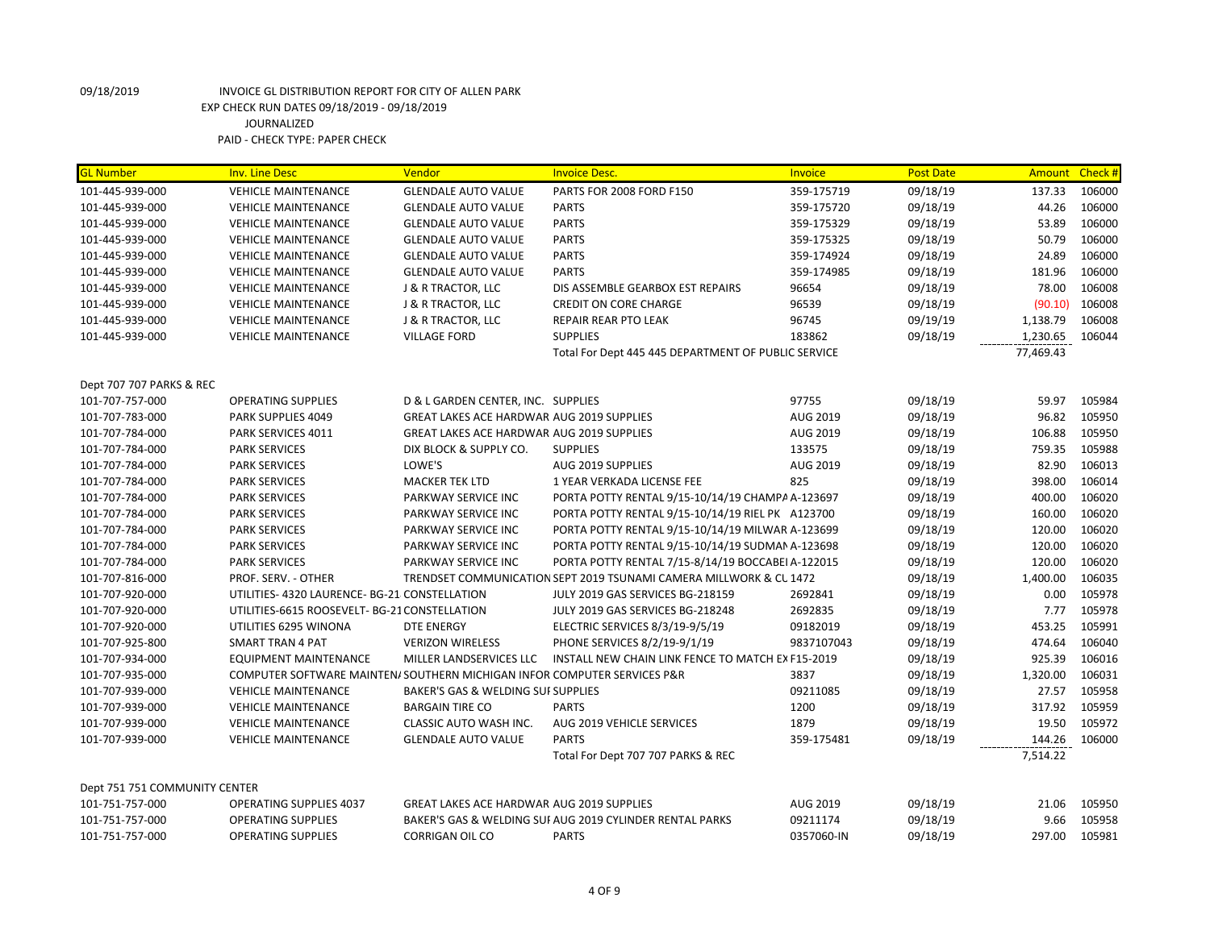| <b>GL Number</b>              | <b>Inv. Line Desc</b>                                                    | Vendor                                           | <b>Invoice Desc.</b>                                               | Invoice    | <b>Post Date</b> | <b>Amount</b> | Check# |
|-------------------------------|--------------------------------------------------------------------------|--------------------------------------------------|--------------------------------------------------------------------|------------|------------------|---------------|--------|
| 101-445-939-000               | <b>VEHICLE MAINTENANCE</b>                                               | <b>GLENDALE AUTO VALUE</b>                       | PARTS FOR 2008 FORD F150                                           | 359-175719 | 09/18/19         | 137.33        | 106000 |
| 101-445-939-000               | <b>VEHICLE MAINTENANCE</b>                                               | <b>GLENDALE AUTO VALUE</b>                       | <b>PARTS</b>                                                       | 359-175720 | 09/18/19         | 44.26         | 106000 |
| 101-445-939-000               | <b>VEHICLE MAINTENANCE</b>                                               | <b>GLENDALE AUTO VALUE</b>                       | <b>PARTS</b>                                                       | 359-175329 | 09/18/19         | 53.89         | 106000 |
| 101-445-939-000               | <b>VEHICLE MAINTENANCE</b>                                               | <b>GLENDALE AUTO VALUE</b>                       | <b>PARTS</b>                                                       | 359-175325 | 09/18/19         | 50.79         | 106000 |
| 101-445-939-000               | <b>VEHICLE MAINTENANCE</b>                                               | <b>GLENDALE AUTO VALUE</b>                       | <b>PARTS</b>                                                       | 359-174924 | 09/18/19         | 24.89         | 106000 |
| 101-445-939-000               | <b>VEHICLE MAINTENANCE</b>                                               | <b>GLENDALE AUTO VALUE</b>                       | <b>PARTS</b>                                                       | 359-174985 | 09/18/19         | 181.96        | 106000 |
| 101-445-939-000               | <b>VEHICLE MAINTENANCE</b>                                               | <b>J &amp; R TRACTOR, LLC</b>                    | DIS ASSEMBLE GEARBOX EST REPAIRS                                   | 96654      | 09/18/19         | 78.00         | 106008 |
| 101-445-939-000               | <b>VEHICLE MAINTENANCE</b>                                               | J & R TRACTOR, LLC                               | <b>CREDIT ON CORE CHARGE</b>                                       | 96539      | 09/18/19         | (90.10)       | 106008 |
| 101-445-939-000               | <b>VEHICLE MAINTENANCE</b>                                               | J & R TRACTOR, LLC                               | <b>REPAIR REAR PTO LEAK</b>                                        | 96745      | 09/19/19         | 1,138.79      | 106008 |
| 101-445-939-000               | <b>VEHICLE MAINTENANCE</b>                                               | <b>VILLAGE FORD</b>                              | <b>SUPPLIES</b>                                                    | 183862     | 09/18/19         | 1,230.65      | 106044 |
|                               |                                                                          |                                                  | Total For Dept 445 445 DEPARTMENT OF PUBLIC SERVICE                |            |                  | 77,469.43     |        |
|                               |                                                                          |                                                  |                                                                    |            |                  |               |        |
| Dept 707 707 PARKS & REC      |                                                                          |                                                  |                                                                    |            |                  |               |        |
| 101-707-757-000               | <b>OPERATING SUPPLIES</b>                                                | D & L GARDEN CENTER, INC. SUPPLIES               |                                                                    | 97755      | 09/18/19         | 59.97         | 105984 |
| 101-707-783-000               | PARK SUPPLIES 4049                                                       | GREAT LAKES ACE HARDWAR AUG 2019 SUPPLIES        |                                                                    | AUG 2019   | 09/18/19         | 96.82         | 105950 |
| 101-707-784-000               | PARK SERVICES 4011                                                       | GREAT LAKES ACE HARDWAR AUG 2019 SUPPLIES        |                                                                    | AUG 2019   | 09/18/19         | 106.88        | 105950 |
| 101-707-784-000               | <b>PARK SERVICES</b>                                                     | DIX BLOCK & SUPPLY CO.                           | <b>SUPPLIES</b>                                                    | 133575     | 09/18/19         | 759.35        | 105988 |
| 101-707-784-000               | <b>PARK SERVICES</b>                                                     | LOWE'S                                           | AUG 2019 SUPPLIES                                                  | AUG 2019   | 09/18/19         | 82.90         | 106013 |
| 101-707-784-000               | <b>PARK SERVICES</b>                                                     | <b>MACKER TEK LTD</b>                            | 1 YEAR VERKADA LICENSE FEE                                         | 825        | 09/18/19         | 398.00        | 106014 |
| 101-707-784-000               | <b>PARK SERVICES</b>                                                     | PARKWAY SERVICE INC                              | PORTA POTTY RENTAL 9/15-10/14/19 CHAMPA A-123697                   |            | 09/18/19         | 400.00        | 106020 |
| 101-707-784-000               | <b>PARK SERVICES</b>                                                     | PARKWAY SERVICE INC                              | PORTA POTTY RENTAL 9/15-10/14/19 RIEL PK A123700                   |            | 09/18/19         | 160.00        | 106020 |
| 101-707-784-000               | <b>PARK SERVICES</b>                                                     | PARKWAY SERVICE INC                              | PORTA POTTY RENTAL 9/15-10/14/19 MILWAR A-123699                   |            | 09/18/19         | 120.00        | 106020 |
| 101-707-784-000               | <b>PARK SERVICES</b>                                                     | PARKWAY SERVICE INC                              | PORTA POTTY RENTAL 9/15-10/14/19 SUDMAN A-123698                   |            | 09/18/19         | 120.00        | 106020 |
| 101-707-784-000               | <b>PARK SERVICES</b>                                                     | PARKWAY SERVICE INC                              | PORTA POTTY RENTAL 7/15-8/14/19 BOCCABEI A-122015                  |            | 09/18/19         | 120.00        | 106020 |
| 101-707-816-000               | PROF. SERV. - OTHER                                                      |                                                  | TRENDSET COMMUNICATION SEPT 2019 TSUNAMI CAMERA MILLWORK & CL 1472 |            | 09/18/19         | 1,400.00      | 106035 |
| 101-707-920-000               | UTILITIES- 4320 LAURENCE- BG-21 CONSTELLATION                            |                                                  | JULY 2019 GAS SERVICES BG-218159                                   | 2692841    | 09/18/19         | 0.00          | 105978 |
| 101-707-920-000               | UTILITIES-6615 ROOSEVELT- BG-21 CONSTELLATION                            |                                                  | JULY 2019 GAS SERVICES BG-218248                                   | 2692835    | 09/18/19         | 7.77          | 105978 |
| 101-707-920-000               | UTILITIES 6295 WINONA                                                    | <b>DTE ENERGY</b>                                | ELECTRIC SERVICES 8/3/19-9/5/19                                    | 09182019   | 09/18/19         | 453.25        | 105991 |
| 101-707-925-800               | <b>SMART TRAN 4 PAT</b>                                                  | <b>VERIZON WIRELESS</b>                          | PHONE SERVICES 8/2/19-9/1/19                                       | 9837107043 | 09/18/19         | 474.64        | 106040 |
| 101-707-934-000               | <b>EQUIPMENT MAINTENANCE</b>                                             | MILLER LANDSERVICES LLC                          | INSTALL NEW CHAIN LINK FENCE TO MATCH EX F15-2019                  |            | 09/18/19         | 925.39        | 106016 |
| 101-707-935-000               | COMPUTER SOFTWARE MAINTEN/ SOUTHERN MICHIGAN INFOR COMPUTER SERVICES P&R |                                                  |                                                                    | 3837       | 09/18/19         | 1,320.00      | 106031 |
| 101-707-939-000               | <b>VEHICLE MAINTENANCE</b>                                               | BAKER'S GAS & WELDING SUI SUPPLIES               |                                                                    | 09211085   | 09/18/19         | 27.57         | 105958 |
| 101-707-939-000               | <b>VEHICLE MAINTENANCE</b>                                               | <b>BARGAIN TIRE CO</b>                           | <b>PARTS</b>                                                       | 1200       | 09/18/19         | 317.92        | 105959 |
| 101-707-939-000               | <b>VEHICLE MAINTENANCE</b>                                               | CLASSIC AUTO WASH INC.                           | AUG 2019 VEHICLE SERVICES                                          | 1879       | 09/18/19         | 19.50         | 105972 |
| 101-707-939-000               | <b>VEHICLE MAINTENANCE</b>                                               | <b>GLENDALE AUTO VALUE</b>                       | <b>PARTS</b>                                                       | 359-175481 | 09/18/19         | 144.26        | 106000 |
|                               |                                                                          |                                                  | Total For Dept 707 707 PARKS & REC                                 |            |                  | 7,514.22      |        |
| Dept 751 751 COMMUNITY CENTER |                                                                          |                                                  |                                                                    |            |                  |               |        |
| 101-751-757-000               | <b>OPERATING SUPPLIES 4037</b>                                           | <b>GREAT LAKES ACE HARDWAR AUG 2019 SUPPLIES</b> |                                                                    | AUG 2019   | 09/18/19         | 21.06         | 105950 |
| 101-751-757-000               | <b>OPERATING SUPPLIES</b>                                                |                                                  | BAKER'S GAS & WELDING SUI AUG 2019 CYLINDER RENTAL PARKS           | 09211174   | 09/18/19         | 9.66          | 105958 |
| 101-751-757-000               | <b>OPERATING SUPPLIES</b>                                                | <b>CORRIGAN OIL CO</b>                           | <b>PARTS</b>                                                       | 0357060-IN | 09/18/19         | 297.00        | 105981 |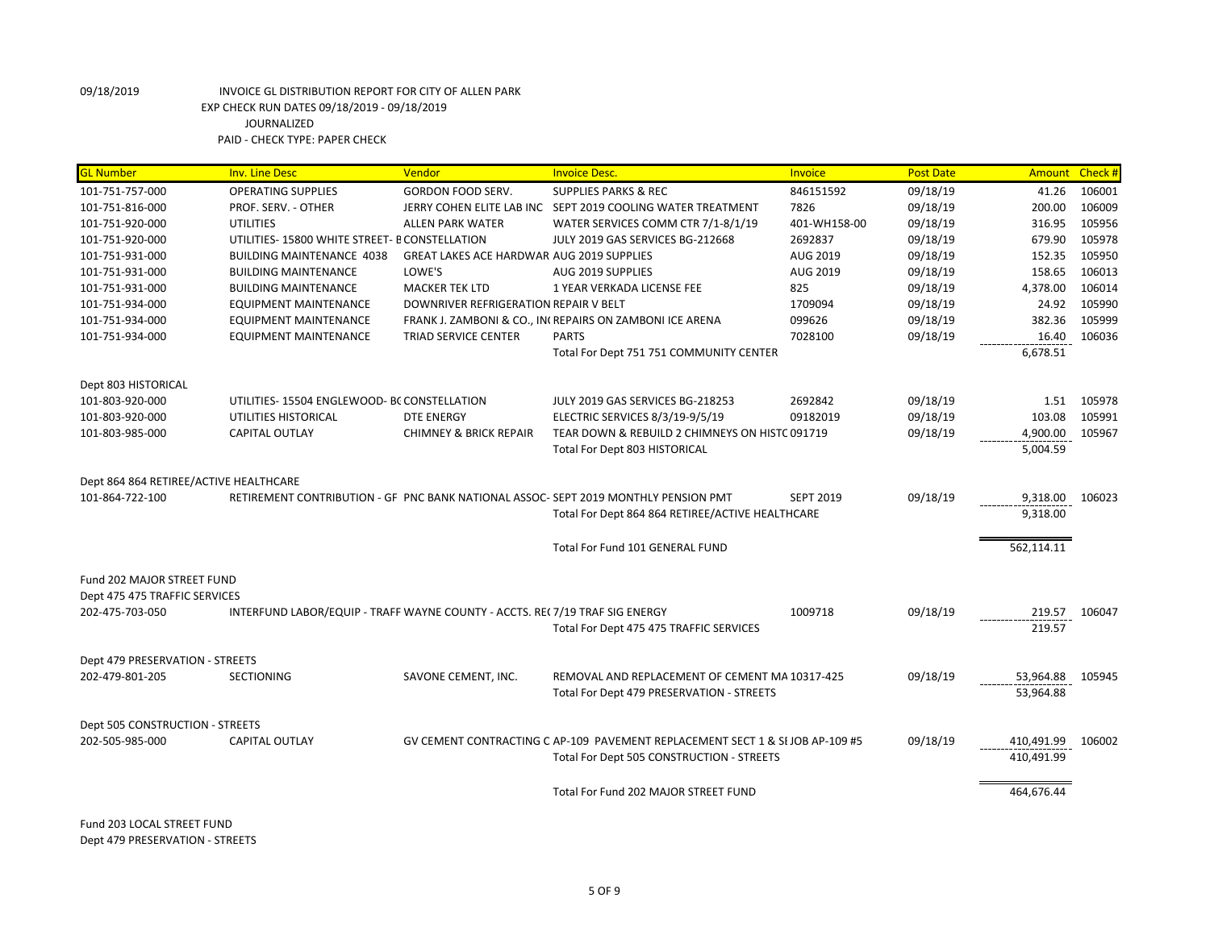| <b>GL Number</b>                       | <b>Inv. Line Desc</b>                                                       | Vendor                                    | <b>Invoice Desc.</b>                                                               | Invoice          | <b>Post Date</b> | Amount     | Check# |
|----------------------------------------|-----------------------------------------------------------------------------|-------------------------------------------|------------------------------------------------------------------------------------|------------------|------------------|------------|--------|
| 101-751-757-000                        | <b>OPERATING SUPPLIES</b>                                                   | <b>GORDON FOOD SERV.</b>                  | <b>SUPPLIES PARKS &amp; REC</b>                                                    | 846151592        | 09/18/19         | 41.26      | 106001 |
| 101-751-816-000                        | PROF. SERV. - OTHER                                                         |                                           | JERRY COHEN ELITE LAB INC SEPT 2019 COOLING WATER TREATMENT                        | 7826             | 09/18/19         | 200.00     | 106009 |
| 101-751-920-000                        | <b>UTILITIES</b>                                                            | ALLEN PARK WATER                          | WATER SERVICES COMM CTR 7/1-8/1/19                                                 | 401-WH158-00     | 09/18/19         | 316.95     | 105956 |
| 101-751-920-000                        | UTILITIES-15800 WHITE STREET- B CONSTELLATION                               |                                           | JULY 2019 GAS SERVICES BG-212668                                                   | 2692837          | 09/18/19         | 679.90     | 105978 |
| 101-751-931-000                        | BUILDING MAINTENANCE 4038                                                   | GREAT LAKES ACE HARDWAR AUG 2019 SUPPLIES |                                                                                    | AUG 2019         | 09/18/19         | 152.35     | 105950 |
| 101-751-931-000                        | <b>BUILDING MAINTENANCE</b>                                                 | LOWE'S                                    | AUG 2019 SUPPLIES                                                                  | AUG 2019         | 09/18/19         | 158.65     | 106013 |
| 101-751-931-000                        | <b>BUILDING MAINTENANCE</b>                                                 | <b>MACKER TEK LTD</b>                     | 1 YEAR VERKADA LICENSE FEE                                                         | 825              | 09/18/19         | 4,378.00   | 106014 |
| 101-751-934-000                        | <b>EQUIPMENT MAINTENANCE</b>                                                | DOWNRIVER REFRIGERATION REPAIR V BELT     |                                                                                    | 1709094          | 09/18/19         | 24.92      | 105990 |
| 101-751-934-000                        | <b>EQUIPMENT MAINTENANCE</b>                                                |                                           | FRANK J. ZAMBONI & CO., IN(REPAIRS ON ZAMBONI ICE ARENA                            | 099626           | 09/18/19         | 382.36     | 105999 |
| 101-751-934-000                        | <b>EQUIPMENT MAINTENANCE</b>                                                | TRIAD SERVICE CENTER                      | <b>PARTS</b>                                                                       | 7028100          | 09/18/19         | 16.40      | 106036 |
|                                        |                                                                             |                                           | Total For Dept 751 751 COMMUNITY CENTER                                            |                  |                  | 6,678.51   |        |
| Dept 803 HISTORICAL                    |                                                                             |                                           |                                                                                    |                  |                  |            |        |
| 101-803-920-000                        | UTILITIES-15504 ENGLEWOOD- BC CONSTELLATION                                 |                                           | JULY 2019 GAS SERVICES BG-218253                                                   | 2692842          | 09/18/19         | 1.51       | 105978 |
| 101-803-920-000                        | UTILITIES HISTORICAL                                                        | <b>DTE ENERGY</b>                         | ELECTRIC SERVICES 8/3/19-9/5/19                                                    | 09182019         | 09/18/19         | 103.08     | 105991 |
| 101-803-985-000                        | <b>CAPITAL OUTLAY</b>                                                       | <b>CHIMNEY &amp; BRICK REPAIR</b>         | TEAR DOWN & REBUILD 2 CHIMNEYS ON HISTC 091719                                     |                  | 09/18/19         | 4,900.00   | 105967 |
|                                        |                                                                             |                                           | Total For Dept 803 HISTORICAL                                                      |                  |                  | 5,004.59   |        |
|                                        |                                                                             |                                           |                                                                                    |                  |                  |            |        |
| Dept 864 864 RETIREE/ACTIVE HEALTHCARE |                                                                             |                                           |                                                                                    |                  |                  |            |        |
| 101-864-722-100                        |                                                                             |                                           | RETIREMENT CONTRIBUTION - GF PNC BANK NATIONAL ASSOC-SEPT 2019 MONTHLY PENSION PMT | <b>SEPT 2019</b> | 09/18/19         | 9,318.00   | 106023 |
|                                        |                                                                             |                                           | Total For Dept 864 864 RETIREE/ACTIVE HEALTHCARE                                   |                  |                  | 9,318.00   |        |
|                                        |                                                                             |                                           |                                                                                    |                  |                  |            |        |
|                                        |                                                                             |                                           | Total For Fund 101 GENERAL FUND                                                    |                  |                  | 562,114.11 |        |
|                                        |                                                                             |                                           |                                                                                    |                  |                  |            |        |
| Fund 202 MAJOR STREET FUND             |                                                                             |                                           |                                                                                    |                  |                  |            |        |
| Dept 475 475 TRAFFIC SERVICES          |                                                                             |                                           |                                                                                    |                  |                  |            |        |
| 202-475-703-050                        | INTERFUND LABOR/EQUIP - TRAFF WAYNE COUNTY - ACCTS. RE(7/19 TRAF SIG ENERGY |                                           |                                                                                    | 1009718          | 09/18/19         | 219.57     | 106047 |
|                                        |                                                                             |                                           | Total For Dept 475 475 TRAFFIC SERVICES                                            |                  |                  | 219.57     |        |
|                                        |                                                                             |                                           |                                                                                    |                  |                  |            |        |
| Dept 479 PRESERVATION - STREETS        |                                                                             |                                           |                                                                                    |                  |                  |            |        |
| 202-479-801-205                        | <b>SECTIONING</b>                                                           | SAVONE CEMENT, INC.                       | REMOVAL AND REPLACEMENT OF CEMENT MA 10317-425                                     |                  | 09/18/19         | 53,964.88  | 105945 |
|                                        |                                                                             |                                           | Total For Dept 479 PRESERVATION - STREETS                                          |                  |                  | 53,964.88  |        |
|                                        |                                                                             |                                           |                                                                                    |                  |                  |            |        |
| Dept 505 CONSTRUCTION - STREETS        |                                                                             |                                           |                                                                                    |                  |                  |            |        |
| 202-505-985-000                        | <b>CAPITAL OUTLAY</b>                                                       |                                           | GV CEMENT CONTRACTING C AP-109 PAVEMENT REPLACEMENT SECT 1 & SI JOB AP-109 #5      |                  | 09/18/19         | 410.491.99 | 106002 |
|                                        |                                                                             |                                           | Total For Dept 505 CONSTRUCTION - STREETS                                          |                  |                  | 410,491.99 |        |
|                                        |                                                                             |                                           |                                                                                    |                  |                  |            |        |
|                                        |                                                                             |                                           | Total For Fund 202 MAJOR STREET FUND                                               |                  |                  | 464,676.44 |        |
|                                        |                                                                             |                                           |                                                                                    |                  |                  |            |        |

Fund 203 LOCAL STREET FUND Dept 479 PRESERVATION - STREETS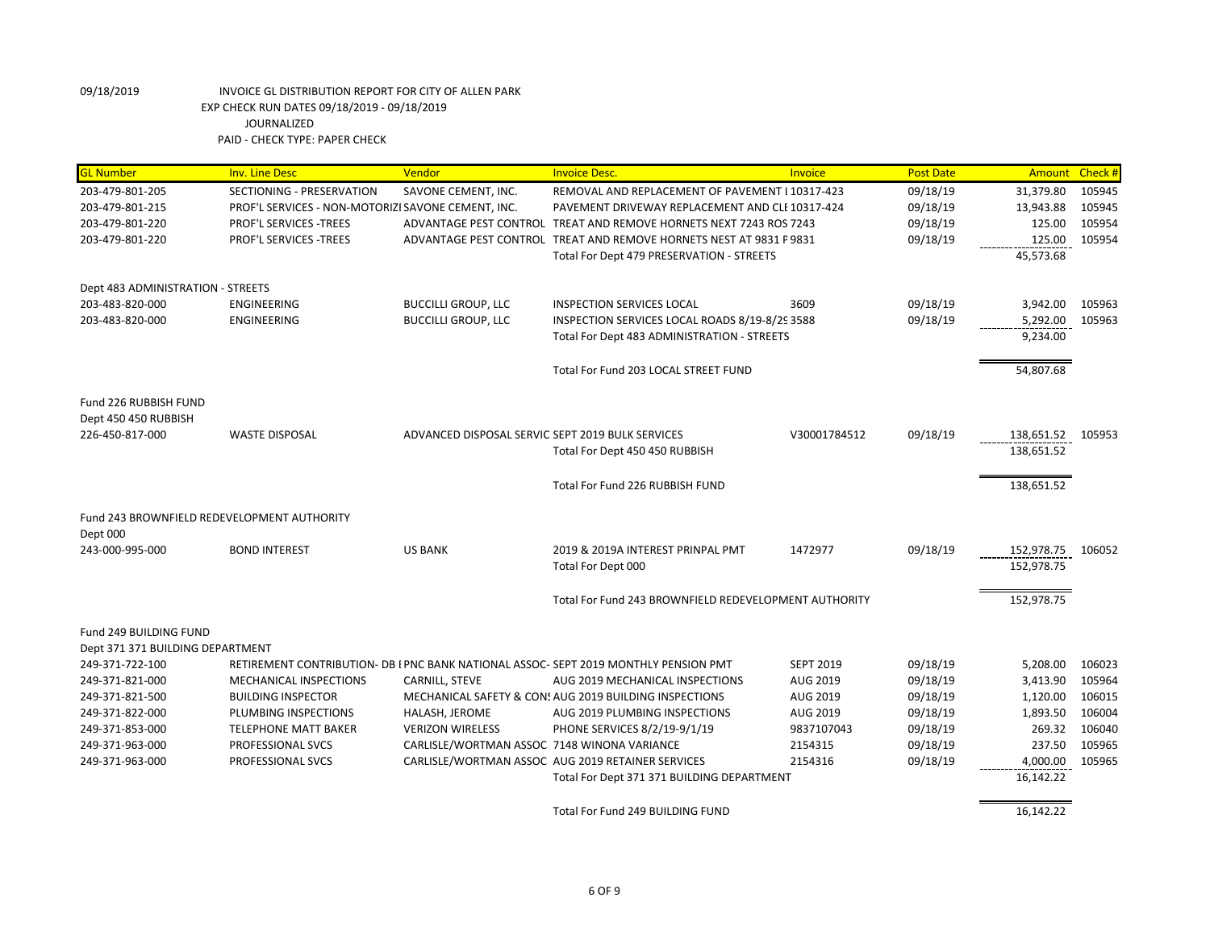| <b>GL</b> Number                            | <b>Inv. Line Desc</b>                              | Vendor                                           | <b>Invoice Desc.</b>                                                                 | Invoice          | <b>Post Date</b> | Amount Check # |        |
|---------------------------------------------|----------------------------------------------------|--------------------------------------------------|--------------------------------------------------------------------------------------|------------------|------------------|----------------|--------|
| 203-479-801-205                             | SECTIONING - PRESERVATION                          | SAVONE CEMENT, INC.                              | REMOVAL AND REPLACEMENT OF PAVEMENT I 10317-423                                      |                  | 09/18/19         | 31,379.80      | 105945 |
| 203-479-801-215                             | PROF'L SERVICES - NON-MOTORIZI SAVONE CEMENT, INC. |                                                  | PAVEMENT DRIVEWAY REPLACEMENT AND CLI 10317-424                                      |                  | 09/18/19         | 13,943.88      | 105945 |
| 203-479-801-220                             | <b>PROF'L SERVICES -TREES</b>                      |                                                  | ADVANTAGE PEST CONTROL TREAT AND REMOVE HORNETS NEXT 7243 ROS 7243                   |                  | 09/18/19         | 125.00         | 105954 |
| 203-479-801-220                             | <b>PROF'L SERVICES -TREES</b>                      |                                                  | ADVANTAGE PEST CONTROL TREAT AND REMOVE HORNETS NEST AT 9831 F 9831                  |                  | 09/18/19         | 125.00         | 105954 |
|                                             |                                                    |                                                  | Total For Dept 479 PRESERVATION - STREETS                                            |                  |                  | 45,573.68      |        |
| Dept 483 ADMINISTRATION - STREETS           |                                                    |                                                  |                                                                                      |                  |                  |                |        |
| 203-483-820-000                             | <b>ENGINEERING</b>                                 | <b>BUCCILLI GROUP, LLC</b>                       | INSPECTION SERVICES LOCAL                                                            | 3609             | 09/18/19         | 3,942.00       | 105963 |
| 203-483-820-000                             | <b>ENGINEERING</b>                                 | <b>BUCCILLI GROUP, LLC</b>                       | INSPECTION SERVICES LOCAL ROADS 8/19-8/29 3588                                       |                  | 09/18/19         | 5,292.00       | 105963 |
|                                             |                                                    |                                                  | Total For Dept 483 ADMINISTRATION - STREETS                                          |                  |                  | 9,234.00       |        |
|                                             |                                                    |                                                  | Total For Fund 203 LOCAL STREET FUND                                                 |                  |                  | 54,807.68      |        |
| Fund 226 RUBBISH FUND                       |                                                    |                                                  |                                                                                      |                  |                  |                |        |
| Dept 450 450 RUBBISH                        |                                                    |                                                  |                                                                                      |                  |                  |                |        |
| 226-450-817-000                             | <b>WASTE DISPOSAL</b>                              | ADVANCED DISPOSAL SERVIC SEPT 2019 BULK SERVICES |                                                                                      | V30001784512     | 09/18/19         | 138,651.52     | 105953 |
|                                             |                                                    |                                                  | Total For Dept 450 450 RUBBISH                                                       |                  |                  | 138,651.52     |        |
|                                             |                                                    |                                                  | Total For Fund 226 RUBBISH FUND                                                      |                  |                  | 138,651.52     |        |
| Fund 243 BROWNFIELD REDEVELOPMENT AUTHORITY |                                                    |                                                  |                                                                                      |                  |                  |                |        |
| Dept 000                                    |                                                    |                                                  |                                                                                      |                  |                  |                |        |
| 243-000-995-000                             | <b>BOND INTEREST</b>                               | <b>US BANK</b>                                   | 2019 & 2019A INTEREST PRINPAL PMT                                                    | 1472977          | 09/18/19         | 152,978.75     | 106052 |
|                                             |                                                    |                                                  | Total For Dept 000                                                                   |                  |                  | 152,978.75     |        |
|                                             |                                                    |                                                  | Total For Fund 243 BROWNFIELD REDEVELOPMENT AUTHORITY                                |                  |                  | 152,978.75     |        |
| Fund 249 BUILDING FUND                      |                                                    |                                                  |                                                                                      |                  |                  |                |        |
| Dept 371 371 BUILDING DEPARTMENT            |                                                    |                                                  |                                                                                      |                  |                  |                |        |
| 249-371-722-100                             |                                                    |                                                  | RETIREMENT CONTRIBUTION- DB I PNC BANK NATIONAL ASSOC- SEPT 2019 MONTHLY PENSION PMT | <b>SEPT 2019</b> | 09/18/19         | 5,208.00       | 106023 |
| 249-371-821-000                             | MECHANICAL INSPECTIONS                             | CARNILL, STEVE                                   | AUG 2019 MECHANICAL INSPECTIONS                                                      | AUG 2019         | 09/18/19         | 3,413.90       | 105964 |
| 249-371-821-500                             | <b>BUILDING INSPECTOR</b>                          |                                                  | MECHANICAL SAFETY & CON: AUG 2019 BUILDING INSPECTIONS                               | AUG 2019         | 09/18/19         | 1,120.00       | 106015 |
| 249-371-822-000                             | PLUMBING INSPECTIONS                               | HALASH, JEROME                                   | AUG 2019 PLUMBING INSPECTIONS                                                        | AUG 2019         | 09/18/19         | 1,893.50       | 106004 |
| 249-371-853-000                             | <b>TELEPHONE MATT BAKER</b>                        | <b>VERIZON WIRELESS</b>                          | PHONE SERVICES 8/2/19-9/1/19                                                         | 9837107043       | 09/18/19         | 269.32         | 106040 |
| 249-371-963-000                             | PROFESSIONAL SVCS                                  | CARLISLE/WORTMAN ASSOC 7148 WINONA VARIANCE      |                                                                                      | 2154315          | 09/18/19         | 237.50         | 105965 |
| 249-371-963-000                             | PROFESSIONAL SVCS                                  |                                                  | CARLISLE/WORTMAN ASSOC AUG 2019 RETAINER SERVICES                                    | 2154316          | 09/18/19         | 4,000.00       | 105965 |
|                                             |                                                    |                                                  | Total For Dept 371 371 BUILDING DEPARTMENT                                           |                  |                  | 16,142.22      |        |
|                                             |                                                    |                                                  | Total For Fund 249 BUILDING FUND                                                     |                  |                  | 16,142.22      |        |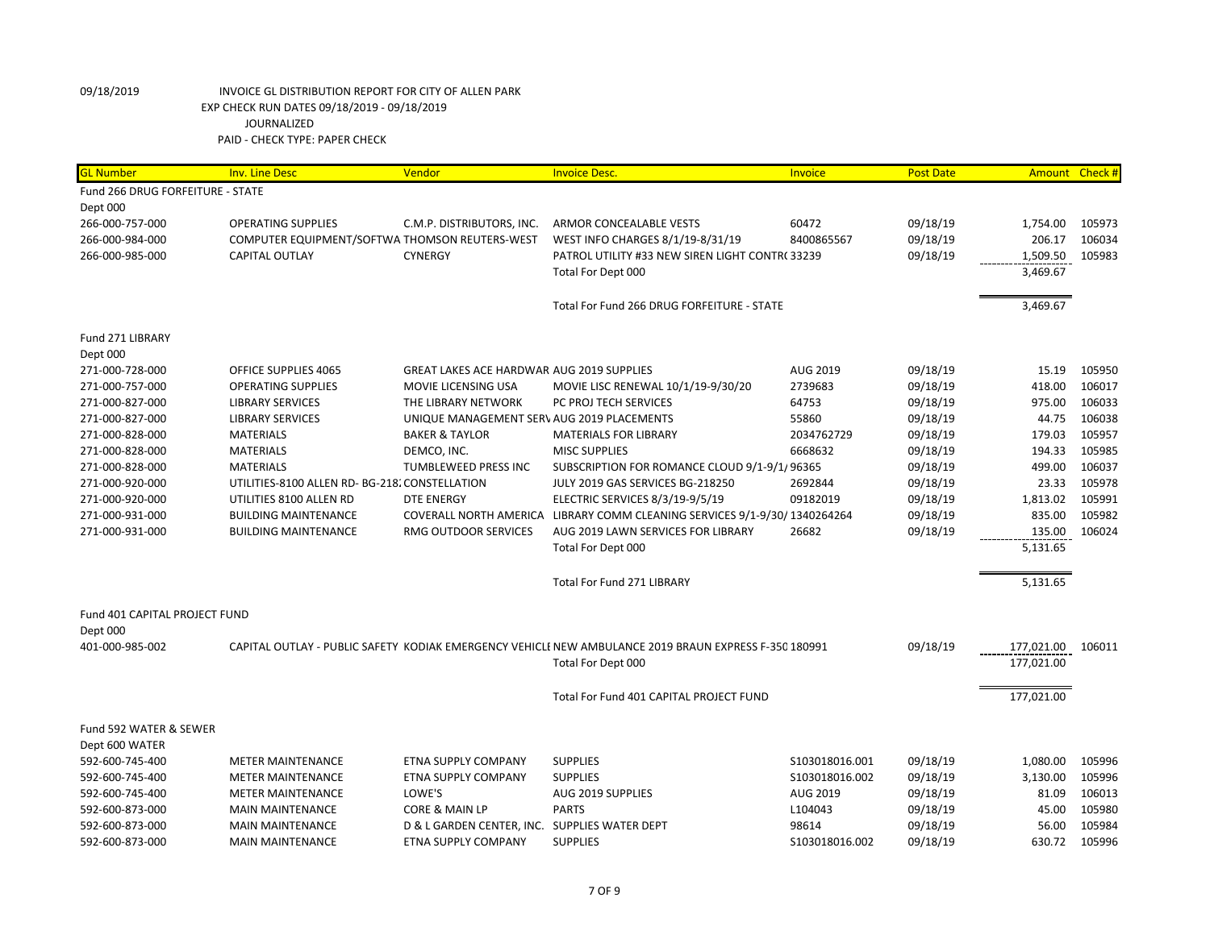| <b>GL Number</b>                 | <b>Inv. Line Desc</b>                          | Vendor                                           | <b>Invoice Desc.</b>                                                                                  | Invoice         | <b>Post Date</b> | <b>Amount</b>     | Check # |
|----------------------------------|------------------------------------------------|--------------------------------------------------|-------------------------------------------------------------------------------------------------------|-----------------|------------------|-------------------|---------|
| Fund 266 DRUG FORFEITURE - STATE |                                                |                                                  |                                                                                                       |                 |                  |                   |         |
| Dept 000                         |                                                |                                                  |                                                                                                       |                 |                  |                   |         |
| 266-000-757-000                  | <b>OPERATING SUPPLIES</b>                      | C.M.P. DISTRIBUTORS, INC.                        | ARMOR CONCEALABLE VESTS                                                                               | 60472           | 09/18/19         | 1,754.00          | 105973  |
| 266-000-984-000                  | COMPUTER EQUIPMENT/SOFTWA THOMSON REUTERS-WEST |                                                  | WEST INFO CHARGES 8/1/19-8/31/19                                                                      | 8400865567      | 09/18/19         | 206.17            | 106034  |
| 266-000-985-000                  | <b>CAPITAL OUTLAY</b>                          | <b>CYNERGY</b>                                   | PATROL UTILITY #33 NEW SIREN LIGHT CONTR(33239                                                        |                 | 09/18/19         | 1,509.50          | 105983  |
|                                  |                                                |                                                  | Total For Dept 000                                                                                    |                 |                  | 3,469.67          |         |
|                                  |                                                |                                                  | Total For Fund 266 DRUG FORFEITURE - STATE                                                            |                 |                  | 3,469.67          |         |
| Fund 271 LIBRARY                 |                                                |                                                  |                                                                                                       |                 |                  |                   |         |
| Dept 000                         |                                                |                                                  |                                                                                                       |                 |                  |                   |         |
| 271-000-728-000                  | OFFICE SUPPLIES 4065                           | <b>GREAT LAKES ACE HARDWAR AUG 2019 SUPPLIES</b> |                                                                                                       | AUG 2019        | 09/18/19         | 15.19             | 105950  |
| 271-000-757-000                  | <b>OPERATING SUPPLIES</b>                      | MOVIE LICENSING USA                              | MOVIE LISC RENEWAL 10/1/19-9/30/20                                                                    | 2739683         | 09/18/19         | 418.00            | 106017  |
| 271-000-827-000                  | <b>LIBRARY SERVICES</b>                        | THE LIBRARY NETWORK                              | PC PROJ TECH SERVICES                                                                                 | 64753           | 09/18/19         | 975.00            | 106033  |
| 271-000-827-000                  | <b>LIBRARY SERVICES</b>                        | UNIQUE MANAGEMENT SERV AUG 2019 PLACEMENTS       |                                                                                                       | 55860           | 09/18/19         | 44.75             | 106038  |
| 271-000-828-000                  | <b>MATERIALS</b>                               | <b>BAKER &amp; TAYLOR</b>                        | <b>MATERIALS FOR LIBRARY</b>                                                                          | 2034762729      | 09/18/19         | 179.03            | 105957  |
| 271-000-828-000                  | <b>MATERIALS</b>                               | DEMCO, INC.                                      | <b>MISC SUPPLIES</b>                                                                                  | 6668632         | 09/18/19         | 194.33            | 105985  |
| 271-000-828-000                  | <b>MATERIALS</b>                               | TUMBLEWEED PRESS INC                             | SUBSCRIPTION FOR ROMANCE CLOUD 9/1-9/1/96365                                                          |                 | 09/18/19         | 499.00            | 106037  |
| 271-000-920-000                  | UTILITIES-8100 ALLEN RD- BG-218. CONSTELLATION |                                                  | JULY 2019 GAS SERVICES BG-218250                                                                      | 2692844         | 09/18/19         | 23.33             | 105978  |
| 271-000-920-000                  | UTILITIES 8100 ALLEN RD                        | <b>DTE ENERGY</b>                                | ELECTRIC SERVICES 8/3/19-9/5/19                                                                       | 09182019        | 09/18/19         | 1,813.02          | 105991  |
| 271-000-931-000                  | <b>BUILDING MAINTENANCE</b>                    |                                                  | COVERALL NORTH AMERICA LIBRARY COMM CLEANING SERVICES 9/1-9/30/ 1340264264                            |                 | 09/18/19         | 835.00            | 105982  |
| 271-000-931-000                  | <b>BUILDING MAINTENANCE</b>                    | RMG OUTDOOR SERVICES                             | AUG 2019 LAWN SERVICES FOR LIBRARY                                                                    | 26682           | 09/18/19         | 135.00            | 106024  |
|                                  |                                                |                                                  | Total For Dept 000                                                                                    |                 |                  | 5,131.65          |         |
|                                  |                                                |                                                  | Total For Fund 271 LIBRARY                                                                            |                 |                  | 5,131.65          |         |
| Fund 401 CAPITAL PROJECT FUND    |                                                |                                                  |                                                                                                       |                 |                  |                   |         |
| Dept 000                         |                                                |                                                  |                                                                                                       |                 |                  |                   |         |
| 401-000-985-002                  |                                                |                                                  | CAPITAL OUTLAY - PUBLIC SAFETY KODIAK EMERGENCY VEHICLI NEW AMBULANCE 2019 BRAUN EXPRESS F-350 180991 |                 | 09/18/19         | 177,021.00 106011 |         |
|                                  |                                                |                                                  | Total For Dept 000                                                                                    |                 |                  | 177,021.00        |         |
|                                  |                                                |                                                  | Total For Fund 401 CAPITAL PROJECT FUND                                                               |                 |                  | 177,021.00        |         |
| Fund 592 WATER & SEWER           |                                                |                                                  |                                                                                                       |                 |                  |                   |         |
| Dept 600 WATER                   |                                                |                                                  |                                                                                                       |                 |                  |                   |         |
| 592-600-745-400                  | <b>METER MAINTENANCE</b>                       | <b>ETNA SUPPLY COMPANY</b>                       | <b>SUPPLIES</b>                                                                                       | \$103018016.001 | 09/18/19         | 1,080.00          | 105996  |
| 592-600-745-400                  | <b>METER MAINTENANCE</b>                       | ETNA SUPPLY COMPANY                              | <b>SUPPLIES</b>                                                                                       | \$103018016.002 | 09/18/19         | 3,130.00          | 105996  |
| 592-600-745-400                  | <b>METER MAINTENANCE</b>                       | LOWE'S                                           | AUG 2019 SUPPLIES                                                                                     | AUG 2019        | 09/18/19         | 81.09             | 106013  |
| 592-600-873-000                  | <b>MAIN MAINTENANCE</b>                        | CORE & MAIN LP                                   | <b>PARTS</b>                                                                                          | L104043         | 09/18/19         | 45.00             | 105980  |
| 592-600-873-000                  | <b>MAIN MAINTENANCE</b>                        | D & L GARDEN CENTER, INC. SUPPLIES WATER DEPT    |                                                                                                       | 98614           | 09/18/19         | 56.00             | 105984  |
| 592-600-873-000                  | <b>MAIN MAINTENANCE</b>                        | ETNA SUPPLY COMPANY                              | <b>SUPPLIES</b>                                                                                       | S103018016.002  | 09/18/19         | 630.72            | 105996  |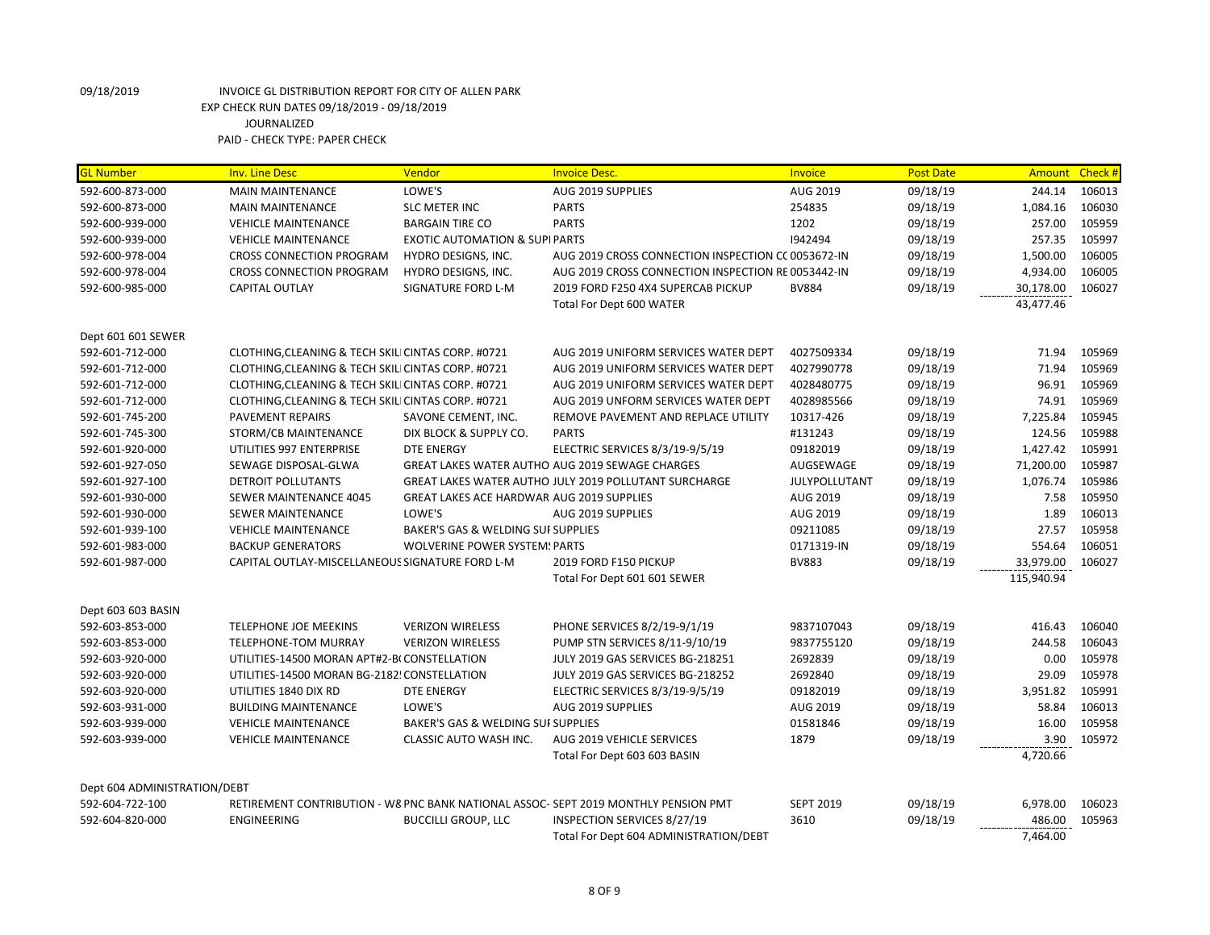| <b>GL Number</b>             | <b>Inv. Line Desc</b>                              | Vendor                                           | <b>Invoice Desc.</b>                                                                | Invoice          | <b>Post Date</b> | <b>Amount</b> | Check # |
|------------------------------|----------------------------------------------------|--------------------------------------------------|-------------------------------------------------------------------------------------|------------------|------------------|---------------|---------|
| 592-600-873-000              | <b>MAIN MAINTENANCE</b>                            | LOWE'S                                           | AUG 2019 SUPPLIES                                                                   | AUG 2019         | 09/18/19         | 244.14        | 106013  |
| 592-600-873-000              | <b>MAIN MAINTENANCE</b>                            | <b>SLC METER INC</b>                             | <b>PARTS</b>                                                                        | 254835           | 09/18/19         | 1,084.16      | 106030  |
| 592-600-939-000              | <b>VEHICLE MAINTENANCE</b>                         | <b>BARGAIN TIRE CO</b>                           | <b>PARTS</b>                                                                        | 1202             | 09/18/19         | 257.00        | 105959  |
| 592-600-939-000              | <b>VEHICLE MAINTENANCE</b>                         | <b>EXOTIC AUTOMATION &amp; SUPI PARTS</b>        |                                                                                     | 1942494          | 09/18/19         | 257.35        | 105997  |
| 592-600-978-004              | <b>CROSS CONNECTION PROGRAM</b>                    | HYDRO DESIGNS, INC.                              | AUG 2019 CROSS CONNECTION INSPECTION CC 0053672-IN                                  |                  | 09/18/19         | 1,500.00      | 106005  |
| 592-600-978-004              | <b>CROSS CONNECTION PROGRAM</b>                    | HYDRO DESIGNS, INC.                              | AUG 2019 CROSS CONNECTION INSPECTION RE 0053442-IN                                  |                  | 09/18/19         | 4,934.00      | 106005  |
| 592-600-985-000              | CAPITAL OUTLAY                                     | <b>SIGNATURE FORD L-M</b>                        | 2019 FORD F250 4X4 SUPERCAB PICKUP                                                  | <b>BV884</b>     | 09/18/19         | 30,178.00     | 106027  |
|                              |                                                    |                                                  | Total For Dept 600 WATER                                                            |                  |                  | 43,477.46     |         |
| Dept 601 601 SEWER           |                                                    |                                                  |                                                                                     |                  |                  |               |         |
| 592-601-712-000              | CLOTHING, CLEANING & TECH SKILI CINTAS CORP. #0721 |                                                  | AUG 2019 UNIFORM SERVICES WATER DEPT                                                | 4027509334       | 09/18/19         | 71.94         | 105969  |
| 592-601-712-000              | CLOTHING, CLEANING & TECH SKILI CINTAS CORP. #0721 |                                                  | AUG 2019 UNIFORM SERVICES WATER DEPT                                                | 4027990778       | 09/18/19         | 71.94         | 105969  |
| 592-601-712-000              | CLOTHING, CLEANING & TECH SKILI CINTAS CORP. #0721 |                                                  | AUG 2019 UNIFORM SERVICES WATER DEPT                                                | 4028480775       | 09/18/19         | 96.91         | 105969  |
| 592-601-712-000              | CLOTHING, CLEANING & TECH SKILI CINTAS CORP. #0721 |                                                  | AUG 2019 UNFORM SERVICES WATER DEPT                                                 | 4028985566       | 09/18/19         | 74.91         | 105969  |
| 592-601-745-200              | <b>PAVEMENT REPAIRS</b>                            | SAVONE CEMENT, INC.                              | REMOVE PAVEMENT AND REPLACE UTILITY                                                 | 10317-426        | 09/18/19         | 7,225.84      | 105945  |
| 592-601-745-300              | STORM/CB MAINTENANCE                               | DIX BLOCK & SUPPLY CO.                           | <b>PARTS</b>                                                                        | #131243          | 09/18/19         | 124.56        | 105988  |
| 592-601-920-000              | UTILITIES 997 ENTERPRISE                           | <b>DTE ENERGY</b>                                | ELECTRIC SERVICES 8/3/19-9/5/19                                                     | 09182019         | 09/18/19         | 1,427.42      | 105991  |
| 592-601-927-050              | SEWAGE DISPOSAL-GLWA                               |                                                  | GREAT LAKES WATER AUTHO AUG 2019 SEWAGE CHARGES                                     | AUGSEWAGE        | 09/18/19         | 71,200.00     | 105987  |
| 592-601-927-100              | <b>DETROIT POLLUTANTS</b>                          |                                                  | GREAT LAKES WATER AUTHO JULY 2019 POLLUTANT SURCHARGE                               | JULYPOLLUTANT    | 09/18/19         | 1,076.74      | 105986  |
| 592-601-930-000              | SEWER MAINTENANCE 4045                             | <b>GREAT LAKES ACE HARDWAR AUG 2019 SUPPLIES</b> |                                                                                     | AUG 2019         | 09/18/19         | 7.58          | 105950  |
| 592-601-930-000              | <b>SEWER MAINTENANCE</b>                           | LOWE'S                                           | AUG 2019 SUPPLIES                                                                   | AUG 2019         | 09/18/19         | 1.89          | 106013  |
| 592-601-939-100              | <b>VEHICLE MAINTENANCE</b>                         | BAKER'S GAS & WELDING SUI SUPPLIES               |                                                                                     | 09211085         | 09/18/19         | 27.57         | 105958  |
| 592-601-983-000              | <b>BACKUP GENERATORS</b>                           | <b>WOLVERINE POWER SYSTEM: PARTS</b>             |                                                                                     | 0171319-IN       | 09/18/19         | 554.64        | 106051  |
| 592-601-987-000              | CAPITAL OUTLAY-MISCELLANEOUS SIGNATURE FORD L-M    |                                                  | 2019 FORD F150 PICKUP                                                               | <b>BV883</b>     | 09/18/19         | 33,979.00     | 106027  |
|                              |                                                    |                                                  | Total For Dept 601 601 SEWER                                                        |                  |                  | 115,940.94    |         |
| Dept 603 603 BASIN           |                                                    |                                                  |                                                                                     |                  |                  |               |         |
| 592-603-853-000              | <b>TELEPHONE JOE MEEKINS</b>                       | <b>VERIZON WIRELESS</b>                          | PHONE SERVICES 8/2/19-9/1/19                                                        | 9837107043       | 09/18/19         | 416.43        | 106040  |
| 592-603-853-000              | <b>TELEPHONE-TOM MURRAY</b>                        | <b>VERIZON WIRELESS</b>                          | PUMP STN SERVICES 8/11-9/10/19                                                      | 9837755120       | 09/18/19         | 244.58        | 106043  |
| 592-603-920-000              | UTILITIES-14500 MORAN APT#2-B(CONSTELLATION        |                                                  | JULY 2019 GAS SERVICES BG-218251                                                    | 2692839          | 09/18/19         | 0.00          | 105978  |
| 592-603-920-000              | UTILITIES-14500 MORAN BG-2182! CONSTELLATION       |                                                  | JULY 2019 GAS SERVICES BG-218252                                                    | 2692840          | 09/18/19         | 29.09         | 105978  |
| 592-603-920-000              | UTILITIES 1840 DIX RD                              | <b>DTE ENERGY</b>                                | ELECTRIC SERVICES 8/3/19-9/5/19                                                     | 09182019         | 09/18/19         | 3,951.82      | 105991  |
| 592-603-931-000              | <b>BUILDING MAINTENANCE</b>                        | LOWE'S                                           | AUG 2019 SUPPLIES                                                                   | AUG 2019         | 09/18/19         | 58.84         | 106013  |
| 592-603-939-000              | <b>VEHICLE MAINTENANCE</b>                         | BAKER'S GAS & WELDING SUI SUPPLIES               |                                                                                     | 01581846         | 09/18/19         | 16.00         | 105958  |
| 592-603-939-000              | <b>VEHICLE MAINTENANCE</b>                         | CLASSIC AUTO WASH INC.                           | AUG 2019 VEHICLE SERVICES                                                           | 1879             | 09/18/19         | 3.90          | 105972  |
|                              |                                                    |                                                  | Total For Dept 603 603 BASIN                                                        |                  |                  | 4,720.66      |         |
| Dept 604 ADMINISTRATION/DEBT |                                                    |                                                  |                                                                                     |                  |                  |               |         |
| 592-604-722-100              |                                                    |                                                  | RETIREMENT CONTRIBUTION - W8 PNC BANK NATIONAL ASSOC- SEPT 2019 MONTHLY PENSION PMT | <b>SEPT 2019</b> | 09/18/19         | 6,978.00      | 106023  |
| 592-604-820-000              | <b>ENGINEERING</b>                                 | <b>BUCCILLI GROUP, LLC</b>                       | INSPECTION SERVICES 8/27/19                                                         | 3610             | 09/18/19         | 486.00        | 105963  |
|                              |                                                    |                                                  | Total For Dept 604 ADMINISTRATION/DEBT                                              |                  |                  | 7,464.00      |         |